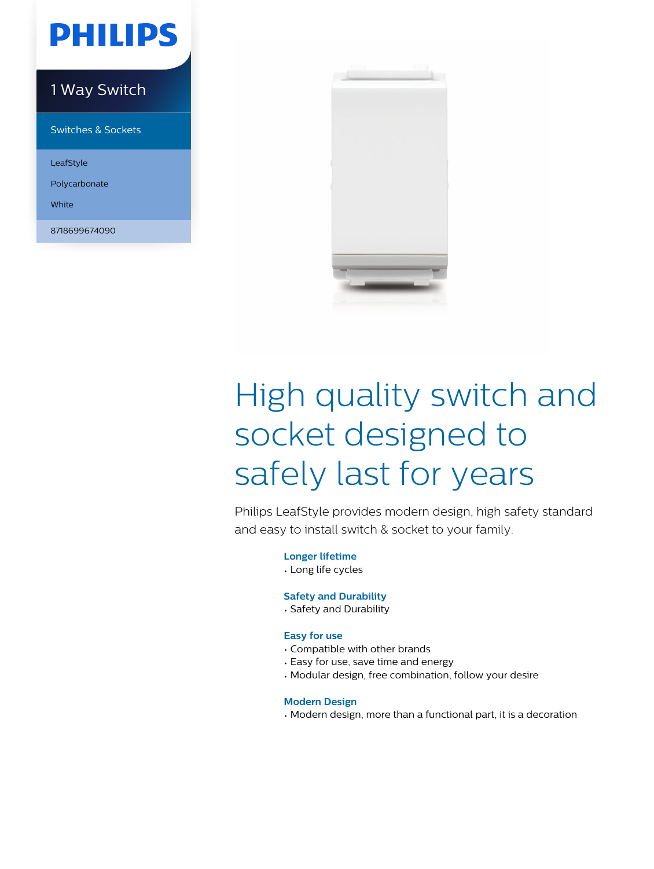## **PHILIPS**

### 1 Way Switch

Switches & Sockets

LeafStyle

Polycarbonate

White

8718699674090



# High quality switch and socket designed to safely last for years

Philips LeafStyle provides modern design, high safety standard and easy to install switch & socket to your family.

**Longer lifetime**

• Long life cycles

#### **Safety and Durability**

• Safety and Durability

#### **Easy for use**

- Compatible with other brands
- Easy for use, save time and energy
- Modular design, free combination, follow your desire

#### **Modern Design**

• Modern design, more than a functional part, it is a decoration